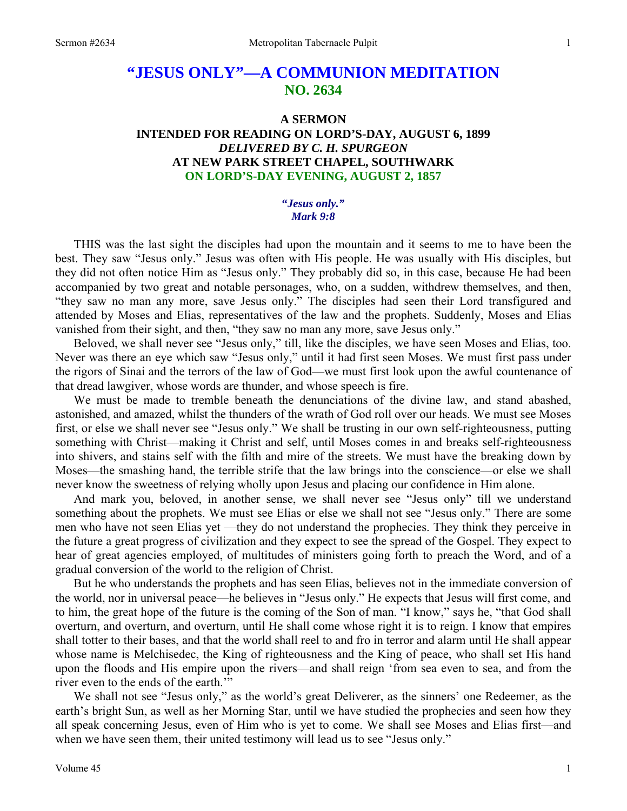# **"JESUS ONLY"—A COMMUNION MEDITATION NO. 2634**

# **A SERMON INTENDED FOR READING ON LORD'S-DAY, AUGUST 6, 1899**  *DELIVERED BY C. H. SPURGEON*  **AT NEW PARK STREET CHAPEL, SOUTHWARK ON LORD'S-DAY EVENING, AUGUST 2, 1857**

### **"***Jesus only." Mark 9:8*

THIS was the last sight the disciples had upon the mountain and it seems to me to have been the best. They saw "Jesus only." Jesus was often with His people. He was usually with His disciples, but they did not often notice Him as "Jesus only." They probably did so, in this case, because He had been accompanied by two great and notable personages, who, on a sudden, withdrew themselves, and then, "they saw no man any more, save Jesus only." The disciples had seen their Lord transfigured and attended by Moses and Elias, representatives of the law and the prophets. Suddenly, Moses and Elias vanished from their sight, and then, "they saw no man any more, save Jesus only."

 Beloved, we shall never see "Jesus only," till, like the disciples, we have seen Moses and Elias, too. Never was there an eye which saw "Jesus only," until it had first seen Moses. We must first pass under the rigors of Sinai and the terrors of the law of God—we must first look upon the awful countenance of that dread lawgiver, whose words are thunder, and whose speech is fire.

 We must be made to tremble beneath the denunciations of the divine law, and stand abashed, astonished, and amazed, whilst the thunders of the wrath of God roll over our heads. We must see Moses first, or else we shall never see "Jesus only." We shall be trusting in our own self-righteousness, putting something with Christ—making it Christ and self, until Moses comes in and breaks self-righteousness into shivers, and stains self with the filth and mire of the streets. We must have the breaking down by Moses—the smashing hand, the terrible strife that the law brings into the conscience—or else we shall never know the sweetness of relying wholly upon Jesus and placing our confidence in Him alone.

 And mark you, beloved, in another sense, we shall never see "Jesus only" till we understand something about the prophets. We must see Elias or else we shall not see "Jesus only." There are some men who have not seen Elias yet —they do not understand the prophecies. They think they perceive in the future a great progress of civilization and they expect to see the spread of the Gospel. They expect to hear of great agencies employed, of multitudes of ministers going forth to preach the Word, and of a gradual conversion of the world to the religion of Christ.

 But he who understands the prophets and has seen Elias, believes not in the immediate conversion of the world, nor in universal peace—he believes in "Jesus only." He expects that Jesus will first come, and to him, the great hope of the future is the coming of the Son of man. "I know," says he, "that God shall overturn, and overturn, and overturn, until He shall come whose right it is to reign. I know that empires shall totter to their bases, and that the world shall reel to and fro in terror and alarm until He shall appear whose name is Melchisedec, the King of righteousness and the King of peace, who shall set His hand upon the floods and His empire upon the rivers—and shall reign 'from sea even to sea, and from the river even to the ends of the earth."

 We shall not see "Jesus only," as the world's great Deliverer, as the sinners' one Redeemer, as the earth's bright Sun, as well as her Morning Star, until we have studied the prophecies and seen how they all speak concerning Jesus, even of Him who is yet to come. We shall see Moses and Elias first—and when we have seen them, their united testimony will lead us to see "Jesus only."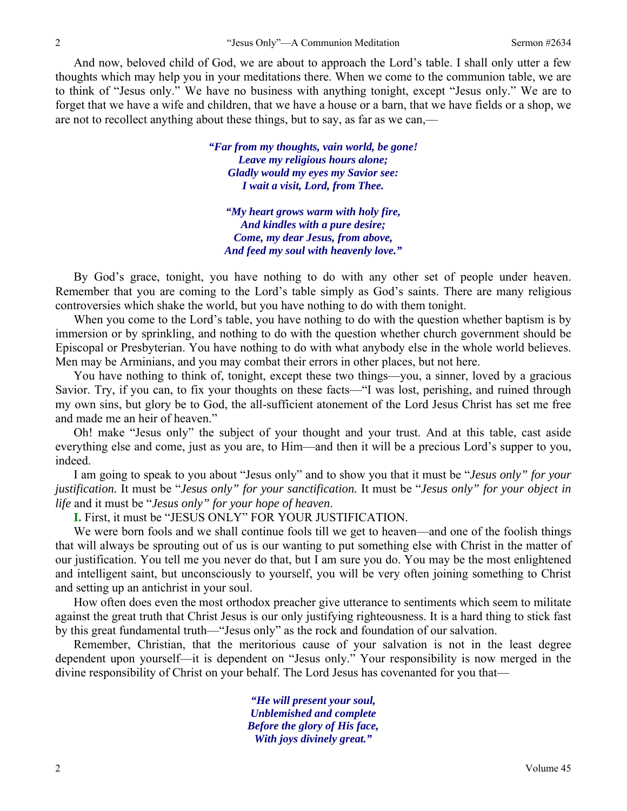And now, beloved child of God, we are about to approach the Lord's table. I shall only utter a few thoughts which may help you in your meditations there. When we come to the communion table, we are to think of "Jesus only." We have no business with anything tonight, except "Jesus only." We are to forget that we have a wife and children, that we have a house or a barn, that we have fields or a shop, we are not to recollect anything about these things, but to say, as far as we can,—

> *"Far from my thoughts, vain world, be gone! Leave my religious hours alone; Gladly would my eyes my Savior see: I wait a visit, Lord, from Thee.*

*"My heart grows warm with holy fire, And kindles with a pure desire; Come, my dear Jesus, from above, And feed my soul with heavenly love."* 

 By God's grace, tonight, you have nothing to do with any other set of people under heaven. Remember that you are coming to the Lord's table simply as God's saints. There are many religious controversies which shake the world, but you have nothing to do with them tonight.

 When you come to the Lord's table, you have nothing to do with the question whether baptism is by immersion or by sprinkling, and nothing to do with the question whether church government should be Episcopal or Presbyterian. You have nothing to do with what anybody else in the whole world believes. Men may be Arminians, and you may combat their errors in other places, but not here.

 You have nothing to think of, tonight, except these two things—you, a sinner, loved by a gracious Savior. Try, if you can, to fix your thoughts on these facts—"I was lost, perishing, and ruined through my own sins, but glory be to God, the all-sufficient atonement of the Lord Jesus Christ has set me free and made me an heir of heaven."

 Oh! make "Jesus only" the subject of your thought and your trust. And at this table, cast aside everything else and come, just as you are, to Him—and then it will be a precious Lord's supper to you, indeed.

 I am going to speak to you about "Jesus only" and to show you that it must be "*Jesus only" for your justification.* It must be "*Jesus only" for your sanctification.* It must be "*Jesus only" for your object in life* and it must be "*Jesus only" for your hope of heaven*.

**I.** First, it must be "JESUS ONLY" FOR YOUR JUSTIFICATION.

 We were born fools and we shall continue fools till we get to heaven—and one of the foolish things that will always be sprouting out of us is our wanting to put something else with Christ in the matter of our justification. You tell me you never do that, but I am sure you do. You may be the most enlightened and intelligent saint, but unconsciously to yourself, you will be very often joining something to Christ and setting up an antichrist in your soul.

 How often does even the most orthodox preacher give utterance to sentiments which seem to militate against the great truth that Christ Jesus is our only justifying righteousness. It is a hard thing to stick fast by this great fundamental truth—"Jesus only" as the rock and foundation of our salvation.

 Remember, Christian, that the meritorious cause of your salvation is not in the least degree dependent upon yourself—it is dependent on "Jesus only." Your responsibility is now merged in the divine responsibility of Christ on your behalf. The Lord Jesus has covenanted for you that—

> *"He will present your soul, Unblemished and complete Before the glory of His face, With joys divinely great."*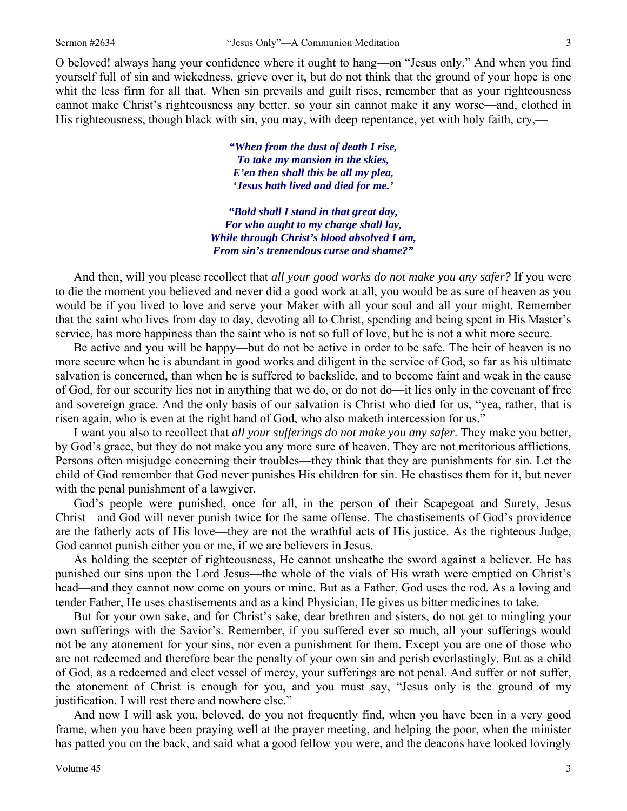O beloved! always hang your confidence where it ought to hang—on "Jesus only." And when you find yourself full of sin and wickedness, grieve over it, but do not think that the ground of your hope is one whit the less firm for all that. When sin prevails and guilt rises, remember that as your righteousness cannot make Christ's righteousness any better, so your sin cannot make it any worse—and, clothed in His righteousness, though black with sin, you may, with deep repentance, yet with holy faith, cry,—

> *"When from the dust of death I rise, To take my mansion in the skies, E'en then shall this be all my plea, 'Jesus hath lived and died for me.'*

*"Bold shall I stand in that great day, For who aught to my charge shall lay, While through Christ's blood absolved I am, From sin's tremendous curse and shame?"* 

And then, will you please recollect that *all your good works do not make you any safer?* If you were to die the moment you believed and never did a good work at all, you would be as sure of heaven as you would be if you lived to love and serve your Maker with all your soul and all your might. Remember that the saint who lives from day to day, devoting all to Christ, spending and being spent in His Master's service, has more happiness than the saint who is not so full of love, but he is not a whit more secure.

 Be active and you will be happy—but do not be active in order to be safe. The heir of heaven is no more secure when he is abundant in good works and diligent in the service of God, so far as his ultimate salvation is concerned, than when he is suffered to backslide, and to become faint and weak in the cause of God, for our security lies not in anything that we do, or do not do—it lies only in the covenant of free and sovereign grace. And the only basis of our salvation is Christ who died for us, "yea, rather, that is risen again, who is even at the right hand of God, who also maketh intercession for us."

 I want you also to recollect that *all your sufferings do not make you any safer*. They make you better, by God's grace, but they do not make you any more sure of heaven. They are not meritorious afflictions. Persons often misjudge concerning their troubles—they think that they are punishments for sin. Let the child of God remember that God never punishes His children for sin. He chastises them for it, but never with the penal punishment of a lawgiver.

 God's people were punished, once for all, in the person of their Scapegoat and Surety, Jesus Christ—and God will never punish twice for the same offense. The chastisements of God's providence are the fatherly acts of His love—they are not the wrathful acts of His justice. As the righteous Judge, God cannot punish either you or me, if we are believers in Jesus.

 As holding the scepter of righteousness, He cannot unsheathe the sword against a believer. He has punished our sins upon the Lord Jesus—the whole of the vials of His wrath were emptied on Christ's head—and they cannot now come on yours or mine. But as a Father, God uses the rod. As a loving and tender Father, He uses chastisements and as a kind Physician, He gives us bitter medicines to take.

 But for your own sake, and for Christ's sake, dear brethren and sisters, do not get to mingling your own sufferings with the Savior's. Remember, if you suffered ever so much, all your sufferings would not be any atonement for your sins, nor even a punishment for them. Except you are one of those who are not redeemed and therefore bear the penalty of your own sin and perish everlastingly. But as a child of God, as a redeemed and elect vessel of mercy, your sufferings are not penal. And suffer or not suffer, the atonement of Christ is enough for you, and you must say, "Jesus only is the ground of my justification. I will rest there and nowhere else."

 And now I will ask you, beloved, do you not frequently find, when you have been in a very good frame, when you have been praying well at the prayer meeting, and helping the poor, when the minister has patted you on the back, and said what a good fellow you were, and the deacons have looked lovingly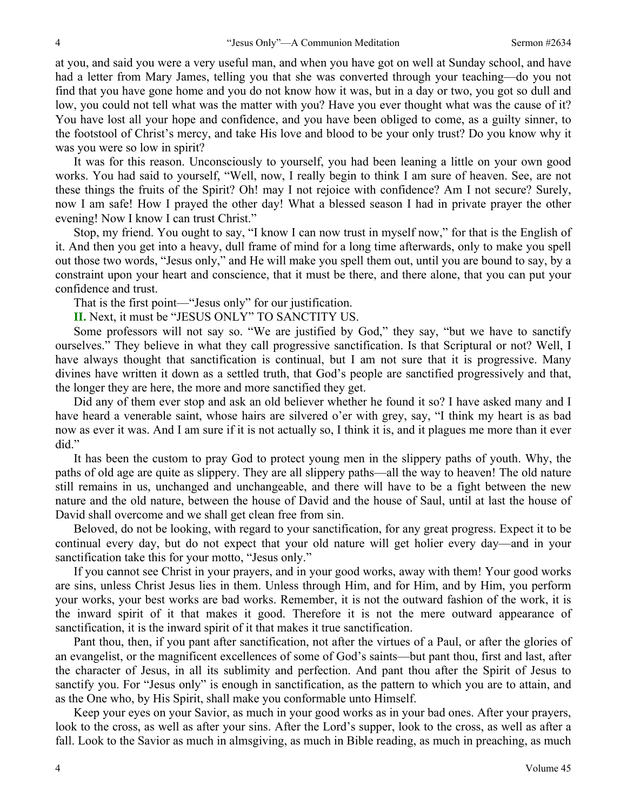at you, and said you were a very useful man, and when you have got on well at Sunday school, and have had a letter from Mary James, telling you that she was converted through your teaching—do you not find that you have gone home and you do not know how it was, but in a day or two, you got so dull and low, you could not tell what was the matter with you? Have you ever thought what was the cause of it? You have lost all your hope and confidence, and you have been obliged to come, as a guilty sinner, to the footstool of Christ's mercy, and take His love and blood to be your only trust? Do you know why it was you were so low in spirit?

 It was for this reason. Unconsciously to yourself, you had been leaning a little on your own good works. You had said to yourself, "Well, now, I really begin to think I am sure of heaven. See, are not these things the fruits of the Spirit? Oh! may I not rejoice with confidence? Am I not secure? Surely, now I am safe! How I prayed the other day! What a blessed season I had in private prayer the other evening! Now I know I can trust Christ."

 Stop, my friend. You ought to say, "I know I can now trust in myself now," for that is the English of it. And then you get into a heavy, dull frame of mind for a long time afterwards, only to make you spell out those two words, "Jesus only," and He will make you spell them out, until you are bound to say, by a constraint upon your heart and conscience, that it must be there, and there alone, that you can put your confidence and trust.

That is the first point—"Jesus only" for our justification.

**II.** Next, it must be "JESUS ONLY" TO SANCTITY US.

 Some professors will not say so. "We are justified by God," they say, "but we have to sanctify ourselves." They believe in what they call progressive sanctification. Is that Scriptural or not? Well, I have always thought that sanctification is continual, but I am not sure that it is progressive. Many divines have written it down as a settled truth, that God's people are sanctified progressively and that, the longer they are here, the more and more sanctified they get.

 Did any of them ever stop and ask an old believer whether he found it so? I have asked many and I have heard a venerable saint, whose hairs are silvered o'er with grey, say, "I think my heart is as bad now as ever it was. And I am sure if it is not actually so, I think it is, and it plagues me more than it ever did."

 It has been the custom to pray God to protect young men in the slippery paths of youth. Why, the paths of old age are quite as slippery. They are all slippery paths—all the way to heaven! The old nature still remains in us, unchanged and unchangeable, and there will have to be a fight between the new nature and the old nature, between the house of David and the house of Saul, until at last the house of David shall overcome and we shall get clean free from sin.

 Beloved, do not be looking, with regard to your sanctification, for any great progress. Expect it to be continual every day, but do not expect that your old nature will get holier every day—and in your sanctification take this for your motto, "Jesus only."

 If you cannot see Christ in your prayers, and in your good works, away with them! Your good works are sins, unless Christ Jesus lies in them. Unless through Him, and for Him, and by Him, you perform your works, your best works are bad works. Remember, it is not the outward fashion of the work, it is the inward spirit of it that makes it good. Therefore it is not the mere outward appearance of sanctification, it is the inward spirit of it that makes it true sanctification.

 Pant thou, then, if you pant after sanctification, not after the virtues of a Paul, or after the glories of an evangelist, or the magnificent excellences of some of God's saints—but pant thou, first and last, after the character of Jesus, in all its sublimity and perfection. And pant thou after the Spirit of Jesus to sanctify you. For "Jesus only" is enough in sanctification, as the pattern to which you are to attain, and as the One who, by His Spirit, shall make you conformable unto Himself.

 Keep your eyes on your Savior, as much in your good works as in your bad ones. After your prayers, look to the cross, as well as after your sins. After the Lord's supper, look to the cross, as well as after a fall. Look to the Savior as much in almsgiving, as much in Bible reading, as much in preaching, as much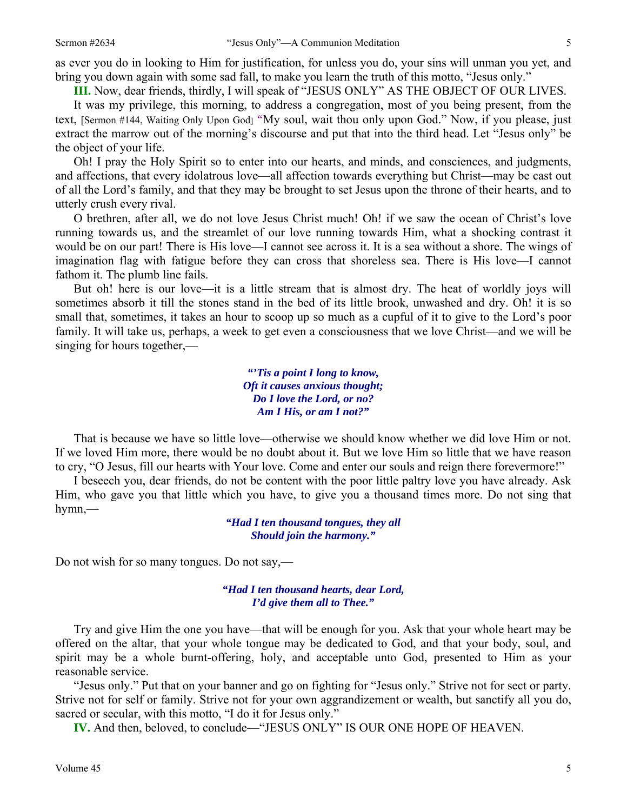as ever you do in looking to Him for justification, for unless you do, your sins will unman you yet, and bring you down again with some sad fall, to make you learn the truth of this motto, "Jesus only."

**III.** Now, dear friends, thirdly, I will speak of "JESUS ONLY" AS THE OBJECT OF OUR LIVES.

 It was my privilege, this morning, to address a congregation, most of you being present, from the text, [Sermon #144, Waiting Only Upon God] *"*My soul, wait thou only upon God." Now, if you please, just extract the marrow out of the morning's discourse and put that into the third head. Let "Jesus only" be the object of your life.

 Oh! I pray the Holy Spirit so to enter into our hearts, and minds, and consciences, and judgments, and affections, that every idolatrous love—all affection towards everything but Christ—may be cast out of all the Lord's family, and that they may be brought to set Jesus upon the throne of their hearts, and to utterly crush every rival.

 O brethren, after all, we do not love Jesus Christ much! Oh! if we saw the ocean of Christ's love running towards us, and the streamlet of our love running towards Him, what a shocking contrast it would be on our part! There is His love—I cannot see across it. It is a sea without a shore. The wings of imagination flag with fatigue before they can cross that shoreless sea. There is His love—I cannot fathom it. The plumb line fails.

 But oh! here is our love—it is a little stream that is almost dry. The heat of worldly joys will sometimes absorb it till the stones stand in the bed of its little brook, unwashed and dry. Oh! it is so small that, sometimes, it takes an hour to scoop up so much as a cupful of it to give to the Lord's poor family. It will take us, perhaps, a week to get even a consciousness that we love Christ—and we will be singing for hours together,—

> *"'Tis a point I long to know, Oft it causes anxious thought; Do I love the Lord, or no? Am I His, or am I not?"*

That is because we have so little love—otherwise we should know whether we did love Him or not. If we loved Him more, there would be no doubt about it. But we love Him so little that we have reason to cry, "O Jesus, fill our hearts with Your love. Come and enter our souls and reign there forevermore!"

 I beseech you, dear friends, do not be content with the poor little paltry love you have already. Ask Him, who gave you that little which you have, to give you a thousand times more. Do not sing that hymn,—

> *"Had I ten thousand tongues, they all Should join the harmony."*

Do not wish for so many tongues. Do not say,—

*"Had I ten thousand hearts, dear Lord, I'd give them all to Thee."* 

 Try and give Him the one you have—that will be enough for you. Ask that your whole heart may be offered on the altar, that your whole tongue may be dedicated to God, and that your body, soul, and spirit may be a whole burnt-offering, holy, and acceptable unto God, presented to Him as your reasonable service.

 "Jesus only." Put that on your banner and go on fighting for "Jesus only." Strive not for sect or party. Strive not for self or family. Strive not for your own aggrandizement or wealth, but sanctify all you do, sacred or secular, with this motto, "I do it for Jesus only."

 **IV.** And then, beloved, to conclude—"JESUS ONLY" IS OUR ONE HOPE OF HEAVEN.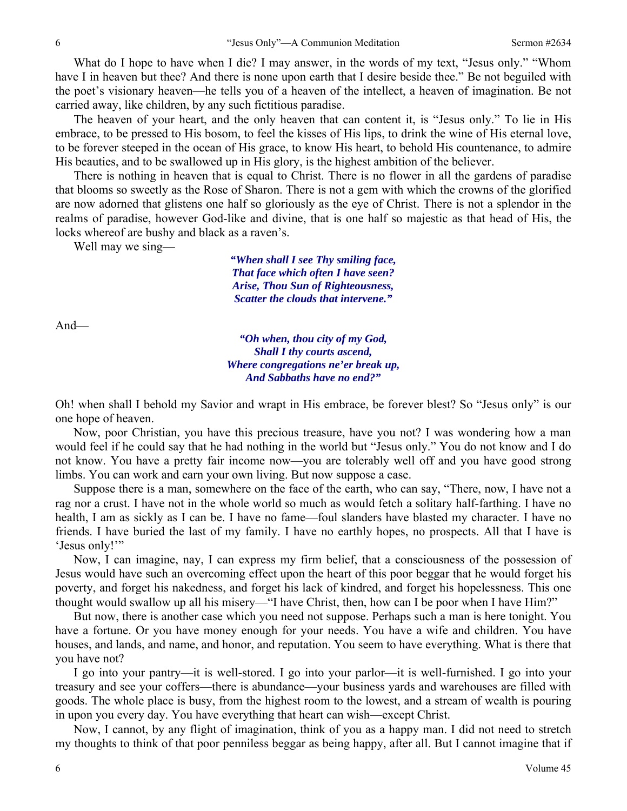What do I hope to have when I die? I may answer, in the words of my text, "Jesus only." "Whom have I in heaven but thee? And there is none upon earth that I desire beside thee." Be not beguiled with the poet's visionary heaven—he tells you of a heaven of the intellect, a heaven of imagination. Be not carried away, like children, by any such fictitious paradise.

 The heaven of your heart, and the only heaven that can content it, is "Jesus only." To lie in His embrace, to be pressed to His bosom, to feel the kisses of His lips, to drink the wine of His eternal love, to be forever steeped in the ocean of His grace, to know His heart, to behold His countenance, to admire His beauties, and to be swallowed up in His glory, is the highest ambition of the believer.

 There is nothing in heaven that is equal to Christ. There is no flower in all the gardens of paradise that blooms so sweetly as the Rose of Sharon. There is not a gem with which the crowns of the glorified are now adorned that glistens one half so gloriously as the eye of Christ. There is not a splendor in the realms of paradise, however God-like and divine, that is one half so majestic as that head of His, the locks whereof are bushy and black as a raven's.

Well may we sing—

*"When shall I see Thy smiling face, That face which often I have seen? Arise, Thou Sun of Righteousness, Scatter the clouds that intervene."* 

And—

*"Oh when, thou city of my God, Shall I thy courts ascend, Where congregations ne'er break up, And Sabbaths have no end?"* 

Oh! when shall I behold my Savior and wrapt in His embrace, be forever blest? So "Jesus only" is our one hope of heaven.

 Now, poor Christian, you have this precious treasure, have you not? I was wondering how a man would feel if he could say that he had nothing in the world but "Jesus only." You do not know and I do not know. You have a pretty fair income now—you are tolerably well off and you have good strong limbs. You can work and earn your own living. But now suppose a case.

 Suppose there is a man, somewhere on the face of the earth, who can say, "There, now, I have not a rag nor a crust. I have not in the whole world so much as would fetch a solitary half-farthing. I have no health, I am as sickly as I can be. I have no fame—foul slanders have blasted my character. I have no friends. I have buried the last of my family. I have no earthly hopes, no prospects. All that I have is 'Jesus only!'"

 Now, I can imagine, nay, I can express my firm belief, that a consciousness of the possession of Jesus would have such an overcoming effect upon the heart of this poor beggar that he would forget his poverty, and forget his nakedness, and forget his lack of kindred, and forget his hopelessness. This one thought would swallow up all his misery—"I have Christ, then, how can I be poor when I have Him?"

 But now, there is another case which you need not suppose. Perhaps such a man is here tonight. You have a fortune. Or you have money enough for your needs. You have a wife and children. You have houses, and lands, and name, and honor, and reputation. You seem to have everything. What is there that you have not?

 I go into your pantry—it is well-stored. I go into your parlor—it is well-furnished. I go into your treasury and see your coffers—there is abundance—your business yards and warehouses are filled with goods. The whole place is busy, from the highest room to the lowest, and a stream of wealth is pouring in upon you every day. You have everything that heart can wish—except Christ.

 Now, I cannot, by any flight of imagination, think of you as a happy man. I did not need to stretch my thoughts to think of that poor penniless beggar as being happy, after all. But I cannot imagine that if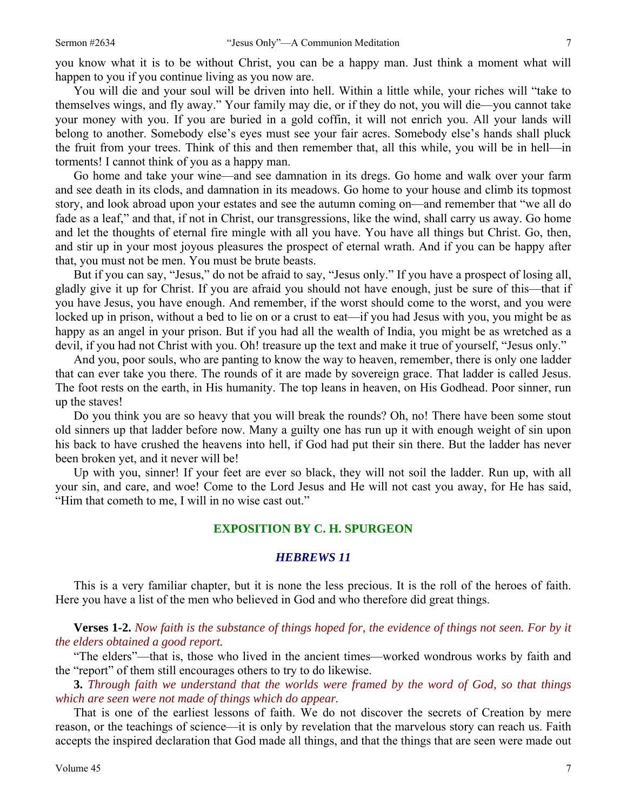you know what it is to be without Christ, you can be a happy man. Just think a moment what will happen to you if you continue living as you now are.

 You will die and your soul will be driven into hell. Within a little while, your riches will "take to themselves wings, and fly away." Your family may die, or if they do not, you will die—you cannot take your money with you. If you are buried in a gold coffin, it will not enrich you. All your lands will belong to another. Somebody else's eyes must see your fair acres. Somebody else's hands shall pluck the fruit from your trees. Think of this and then remember that, all this while, you will be in hell—in torments! I cannot think of you as a happy man.

 Go home and take your wine—and see damnation in its dregs. Go home and walk over your farm and see death in its clods, and damnation in its meadows. Go home to your house and climb its topmost story, and look abroad upon your estates and see the autumn coming on—and remember that "we all do fade as a leaf," and that, if not in Christ, our transgressions, like the wind, shall carry us away. Go home and let the thoughts of eternal fire mingle with all you have. You have all things but Christ. Go, then, and stir up in your most joyous pleasures the prospect of eternal wrath. And if you can be happy after that, you must not be men. You must be brute beasts.

 But if you can say, "Jesus," do not be afraid to say, "Jesus only." If you have a prospect of losing all, gladly give it up for Christ. If you are afraid you should not have enough, just be sure of this—that if you have Jesus, you have enough. And remember, if the worst should come to the worst, and you were locked up in prison, without a bed to lie on or a crust to eat—if you had Jesus with you, you might be as happy as an angel in your prison. But if you had all the wealth of India, you might be as wretched as a devil, if you had not Christ with you. Oh! treasure up the text and make it true of yourself, "Jesus only."

 And you, poor souls, who are panting to know the way to heaven, remember, there is only one ladder that can ever take you there. The rounds of it are made by sovereign grace. That ladder is called Jesus. The foot rests on the earth, in His humanity. The top leans in heaven, on His Godhead. Poor sinner, run up the staves!

 Do you think you are so heavy that you will break the rounds? Oh, no! There have been some stout old sinners up that ladder before now. Many a guilty one has run up it with enough weight of sin upon his back to have crushed the heavens into hell, if God had put their sin there. But the ladder has never been broken yet, and it never will be!

 Up with you, sinner! If your feet are ever so black, they will not soil the ladder. Run up, with all your sin, and care, and woe! Come to the Lord Jesus and He will not cast you away, for He has said, "Him that cometh to me, I will in no wise cast out."

## **EXPOSITION BY C. H. SPURGEON**

#### *HEBREWS 11*

This is a very familiar chapter, but it is none the less precious. It is the roll of the heroes of faith. Here you have a list of the men who believed in God and who therefore did great things.

**Verses 1-2.** *Now faith is the substance of things hoped for, the evidence of things not seen. For by it the elders obtained a good report.* 

"The elders"—that is, those who lived in the ancient times—worked wondrous works by faith and the "report" of them still encourages others to try to do likewise.

**3.** *Through faith we understand that the worlds were framed by the word of God, so that things which are seen were not made of things which do appear.* 

That is one of the earliest lessons of faith. We do not discover the secrets of Creation by mere reason, or the teachings of science—it is only by revelation that the marvelous story can reach us. Faith accepts the inspired declaration that God made all things, and that the things that are seen were made out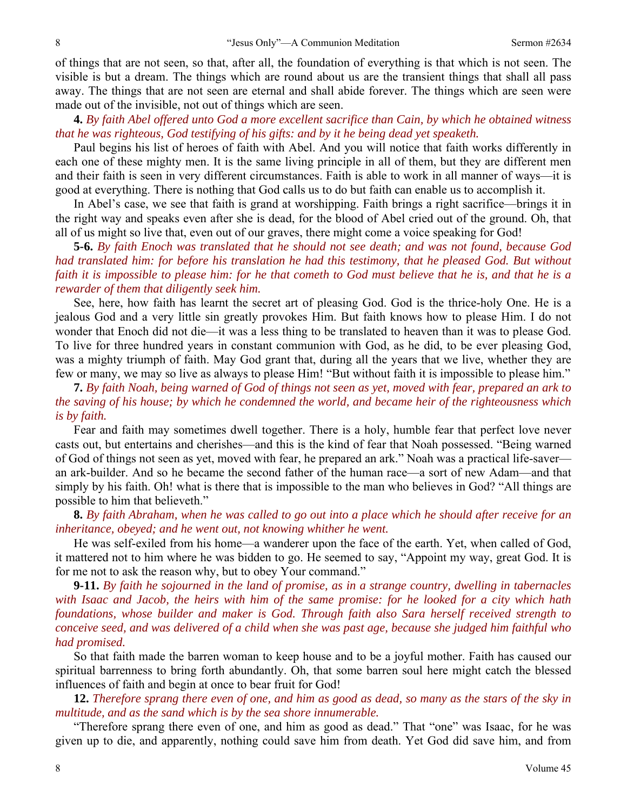of things that are not seen, so that, after all, the foundation of everything is that which is not seen. The visible is but a dream. The things which are round about us are the transient things that shall all pass away. The things that are not seen are eternal and shall abide forever. The things which are seen were made out of the invisible, not out of things which are seen.

**4.** *By faith Abel offered unto God a more excellent sacrifice than Cain, by which he obtained witness that he was righteous, God testifying of his gifts: and by it he being dead yet speaketh.* 

Paul begins his list of heroes of faith with Abel. And you will notice that faith works differently in each one of these mighty men. It is the same living principle in all of them, but they are different men and their faith is seen in very different circumstances. Faith is able to work in all manner of ways—it is good at everything. There is nothing that God calls us to do but faith can enable us to accomplish it.

 In Abel's case, we see that faith is grand at worshipping. Faith brings a right sacrifice—brings it in the right way and speaks even after she is dead, for the blood of Abel cried out of the ground. Oh, that all of us might so live that, even out of our graves, there might come a voice speaking for God!

**5-6.** *By faith Enoch was translated that he should not see death; and was not found, because God had translated him: for before his translation he had this testimony, that he pleased God. But without faith it is impossible to please him: for he that cometh to God must believe that he is, and that he is a rewarder of them that diligently seek him.* 

See, here, how faith has learnt the secret art of pleasing God. God is the thrice-holy One. He is a jealous God and a very little sin greatly provokes Him. But faith knows how to please Him. I do not wonder that Enoch did not die—it was a less thing to be translated to heaven than it was to please God. To live for three hundred years in constant communion with God, as he did, to be ever pleasing God, was a mighty triumph of faith. May God grant that, during all the years that we live, whether they are few or many, we may so live as always to please Him! "But without faith it is impossible to please him."

**7.** *By faith Noah, being warned of God of things not seen as yet, moved with fear, prepared an ark to the saving of his house; by which he condemned the world, and became heir of the righteousness which is by faith.* 

Fear and faith may sometimes dwell together. There is a holy, humble fear that perfect love never casts out, but entertains and cherishes—and this is the kind of fear that Noah possessed. "Being warned of God of things not seen as yet, moved with fear, he prepared an ark." Noah was a practical life-saver an ark-builder. And so he became the second father of the human race—a sort of new Adam—and that simply by his faith. Oh! what is there that is impossible to the man who believes in God? "All things are possible to him that believeth."

**8.** *By faith Abraham, when he was called to go out into a place which he should after receive for an inheritance, obeyed; and he went out, not knowing whither he went.* 

He was self-exiled from his home—a wanderer upon the face of the earth. Yet, when called of God, it mattered not to him where he was bidden to go. He seemed to say, "Appoint my way, great God. It is for me not to ask the reason why, but to obey Your command."

**9-11.** *By faith he sojourned in the land of promise, as in a strange country, dwelling in tabernacles with Isaac and Jacob, the heirs with him of the same promise: for he looked for a city which hath foundations, whose builder and maker is God. Through faith also Sara herself received strength to conceive seed, and was delivered of a child when she was past age, because she judged him faithful who had promised.* 

So that faith made the barren woman to keep house and to be a joyful mother. Faith has caused our spiritual barrenness to bring forth abundantly. Oh, that some barren soul here might catch the blessed influences of faith and begin at once to bear fruit for God!

**12.** *Therefore sprang there even of one, and him as good as dead, so many as the stars of the sky in multitude, and as the sand which is by the sea shore innumerable.* 

"Therefore sprang there even of one, and him as good as dead." That "one" was Isaac, for he was given up to die, and apparently, nothing could save him from death. Yet God did save him, and from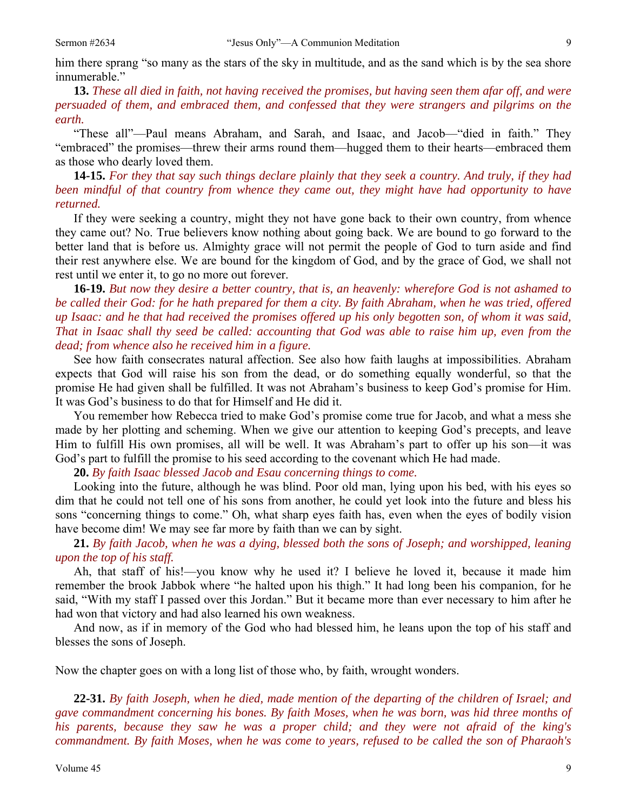him there sprang "so many as the stars of the sky in multitude, and as the sand which is by the sea shore innumerable."

# **13.** *These all died in faith, not having received the promises, but having seen them afar off, and were persuaded of them, and embraced them, and confessed that they were strangers and pilgrims on the earth.*

"These all"—Paul means Abraham, and Sarah, and Isaac, and Jacob—"died in faith." They "embraced" the promises—threw their arms round them—hugged them to their hearts—embraced them as those who dearly loved them.

**14-15.** *For they that say such things declare plainly that they seek a country. And truly, if they had been mindful of that country from whence they came out, they might have had opportunity to have returned.* 

If they were seeking a country, might they not have gone back to their own country, from whence they came out? No. True believers know nothing about going back. We are bound to go forward to the better land that is before us. Almighty grace will not permit the people of God to turn aside and find their rest anywhere else. We are bound for the kingdom of God, and by the grace of God, we shall not rest until we enter it, to go no more out forever.

**16-19.** *But now they desire a better country, that is, an heavenly: wherefore God is not ashamed to be called their God: for he hath prepared for them a city. By faith Abraham, when he was tried, offered up Isaac: and he that had received the promises offered up his only begotten son, of whom it was said, That in Isaac shall thy seed be called: accounting that God was able to raise him up, even from the dead; from whence also he received him in a figure.* 

See how faith consecrates natural affection. See also how faith laughs at impossibilities. Abraham expects that God will raise his son from the dead, or do something equally wonderful, so that the promise He had given shall be fulfilled. It was not Abraham's business to keep God's promise for Him. It was God's business to do that for Himself and He did it.

 You remember how Rebecca tried to make God's promise come true for Jacob, and what a mess she made by her plotting and scheming. When we give our attention to keeping God's precepts, and leave Him to fulfill His own promises, all will be well. It was Abraham's part to offer up his son—it was God's part to fulfill the promise to his seed according to the covenant which He had made.

**20.** *By faith Isaac blessed Jacob and Esau concerning things to come.* 

Looking into the future, although he was blind. Poor old man, lying upon his bed, with his eyes so dim that he could not tell one of his sons from another, he could yet look into the future and bless his sons "concerning things to come." Oh, what sharp eyes faith has, even when the eyes of bodily vision have become dim! We may see far more by faith than we can by sight.

**21.** *By faith Jacob, when he was a dying, blessed both the sons of Joseph; and worshipped, leaning upon the top of his staff.* 

Ah, that staff of his!—you know why he used it? I believe he loved it, because it made him remember the brook Jabbok where "he halted upon his thigh." It had long been his companion, for he said, "With my staff I passed over this Jordan." But it became more than ever necessary to him after he had won that victory and had also learned his own weakness.

 And now, as if in memory of the God who had blessed him, he leans upon the top of his staff and blesses the sons of Joseph.

Now the chapter goes on with a long list of those who, by faith, wrought wonders.

**22-31.** *By faith Joseph, when he died, made mention of the departing of the children of Israel; and gave commandment concerning his bones. By faith Moses, when he was born, was hid three months of his parents, because they saw he was a proper child; and they were not afraid of the king's commandment. By faith Moses, when he was come to years, refused to be called the son of Pharaoh's*